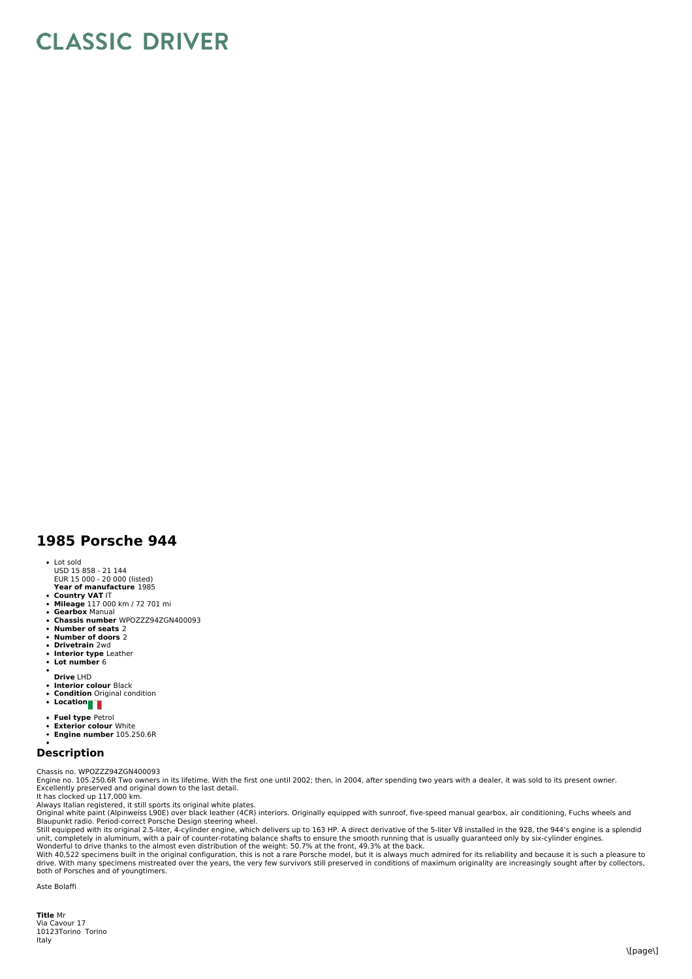## **CLASSIC DRIVER**

## **1985 Porsche 944**

- Lot sold
- USD 15 858 21 144 EUR 15 000 20 000 (listed)
- **Year of manufacture** 1985
- 
- **Country VAT** IT **Mileage** 117 000 km / 72 701 mi
- **Gearbox** Manual
- **Chassis number** WPOZZZ94ZGN400093  $\ddot{\phantom{0}}$
- **Number of seats** 2 **Number of doors** 2
- $\ddot{\phantom{0}}$ **Drivetrain** 2wd
- $\bullet$
- **Interior type** Leather **Lot number** 6  $\overline{a}$
- **Drive** LHD
- **Interior colour** Black  $\bullet$
- $\ddot{\phantom{0}}$ **Condition** Original condition **Location**
- $\bullet$
- **Fuel type** Petrol
- $\bullet$
- **Exterior colour** White **Engine number** 105.250.6R

## **Description**

Chassis no. WPOZZZ94ZGN400093

Engine no. 105.250.6R Two owners in its lifetime. With the first one until 2002; then, in 2004, after spending two years with a dealer, it was sold to its present owner. Excellently preserved and original down to the last detail. It has clocked up 117,000 km.

Always Italian registered, it still sports its original white plates.<br>Original white paint (Alpinweiss L90E) over black leather (4CR) interiors. Originally equipped with sunroof, five-speed manual gearbox, air conditioning

Blaupunkt radio. Period-correct Porsche Design steering wheel.<br>Still equipped with its original 2.5-liter, 4-cylinder engine, which delivers up to 163 HP. A direct derivative of the 5-liter V8 installed in the 928, the 944

With 40,522 specimens built in the original configuration, this is not a rare Porsche model, but it is always much admired for its reliability and because it is such a pleasure to drive. With many specimens mistreated over the years, the very few survivors still preserved in conditions of maximum originality are increasingly sought after by collectors,<br>both of Porsches and of youngtimers.

Aste Bolaffi

**Title** Mr Via Cavour 17 10123Torino Torino Italy